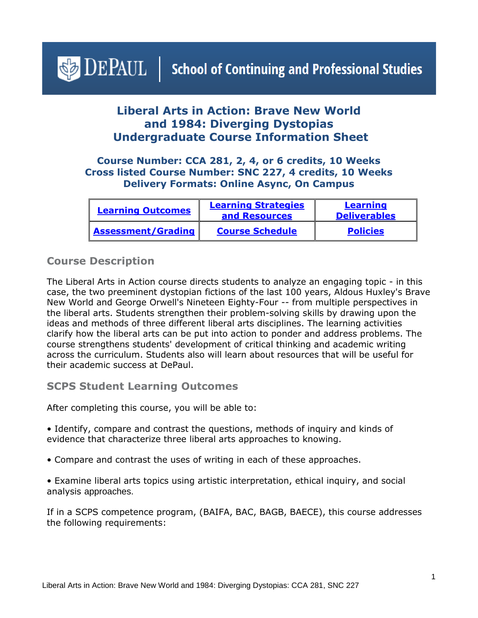# <span id="page-0-1"></span> $\triangle$  DEPAUL | School of Continuing and Professional Studies

## **Liberal Arts in Action: Brave New World and 1984: Diverging Dystopias Undergraduate Course Information Sheet**

#### **Course Number: CCA 281, 2, 4, or 6 credits, 10 Weeks Cross listed Course Number: SNC 227, 4 credits, 10 Weeks Delivery Formats: Online Async, On Campus**

| <b>Learning Outcomes</b>  | <b>Learning Strategies</b><br>and Resources | Learning<br><b>Deliverables</b> |
|---------------------------|---------------------------------------------|---------------------------------|
| <b>Assessment/Grading</b> | <b>Course Schedule</b>                      | <b>Policies</b>                 |

#### **Course Description**

The Liberal Arts in Action course directs students to analyze an engaging topic - in this case, the two preeminent dystopian fictions of the last 100 years, Aldous Huxley's Brave New World and George Orwell's Nineteen Eighty-Four -- from multiple perspectives in the liberal arts. Students strengthen their problem-solving skills by drawing upon the ideas and methods of three different liberal arts disciplines. The learning activities clarify how the liberal arts can be put into action to ponder and address problems. The course strengthens students' development of critical thinking and academic writing across the curriculum. Students also will learn about resources that will be useful for their academic success at DePaul.

#### <span id="page-0-0"></span>**SCPS Student Learning Outcomes**

After completing this course, you will be able to:

- Identify, compare and contrast the questions, methods of inquiry and kinds of evidence that characterize three liberal arts approaches to knowing.
- Compare and contrast the uses of writing in each of these approaches.
- Examine liberal arts topics using artistic interpretation, ethical inquiry, and social analysis approaches.

If in a SCPS competence program, (BAIFA, BAC, BAGB, BAECE), this course addresses the following requirements: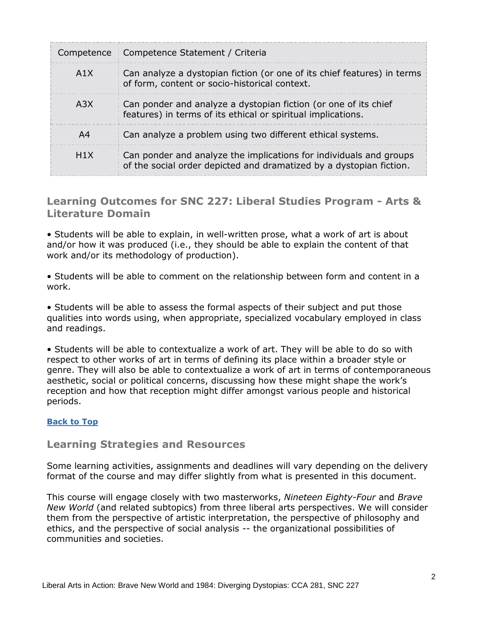|                  | Competence   Competence Statement / Criteria                                                                                              |
|------------------|-------------------------------------------------------------------------------------------------------------------------------------------|
| A1X              | Can analyze a dystopian fiction (or one of its chief features) in terms<br>of form, content or socio-historical context.                  |
| A <sub>3</sub> X | Can ponder and analyze a dystopian fiction (or one of its chief<br>features) in terms of its ethical or spiritual implications.           |
| A4               | Can analyze a problem using two different ethical systems.                                                                                |
| H1X              | Can ponder and analyze the implications for individuals and groups<br>of the social order depicted and dramatized by a dystopian fiction. |

### <span id="page-1-0"></span>**Learning Outcomes for SNC 227: Liberal Studies Program - Arts & Literature Domain**

• Students will be able to explain, in well-written prose, what a work of art is about and/or how it was produced (i.e., they should be able to explain the content of that work and/or its methodology of production).

• Students will be able to comment on the relationship between form and content in a work.

• Students will be able to assess the formal aspects of their subject and put those qualities into words using, when appropriate, specialized vocabulary employed in class and readings.

• Students will be able to contextualize a work of art. They will be able to do so with respect to other works of art in terms of defining its place within a broader style or genre. They will also be able to contextualize a work of art in terms of contemporaneous aesthetic, social or political concerns, discussing how these might shape the work's reception and how that reception might differ amongst various people and historical periods.

#### **[Back to Top](#page-0-1)**

#### **Learning Strategies and Resources**

Some learning activities, assignments and deadlines will vary depending on the delivery format of the course and may differ slightly from what is presented in this document.

This course will engage closely with two masterworks, *Nineteen Eighty-Four* and *Brave New World* (and related subtopics) from three liberal arts perspectives. We will consider them from the perspective of artistic interpretation, the perspective of philosophy and ethics, and the perspective of social analysis -- the organizational possibilities of communities and societies.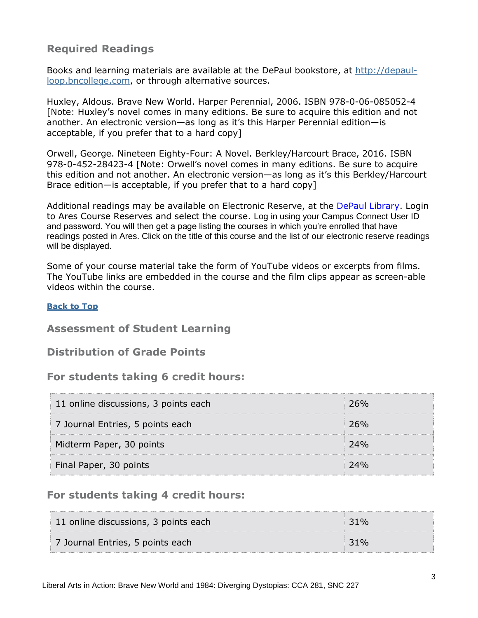## **Required Readings**

Books and learning materials are available at the DePaul bookstore, at [http://depaul](http://depaul-loop.bncollege.com/)[loop.bncollege.com,](http://depaul-loop.bncollege.com/) or through alternative sources.

Huxley, Aldous. Brave New World. Harper Perennial, 2006. ISBN 978-0-06-085052-4 [Note: Huxley's novel comes in many editions. Be sure to acquire this edition and not another. An electronic version—as long as it's this Harper Perennial edition—is acceptable, if you prefer that to a hard copy]

Orwell, George. Nineteen Eighty-Four: A Novel. Berkley/Harcourt Brace, 2016. ISBN 978-0-452-28423-4 [Note: Orwell's novel comes in many editions. Be sure to acquire this edition and not another. An electronic version—as long as it's this Berkley/Harcourt Brace edition—is acceptable, if you prefer that to a hard copy]

Additional readings may be available on Electronic Reserve, at the [DePaul Library.](https://library.depaul.edu/services/Pages/Course-Reserves-Services.aspx) Login to Ares Course Reserves and select the course. Log in using your Campus Connect User ID and password. You will then get a page listing the courses in which you're enrolled that have readings posted in Ares. Click on the title of this course and the list of our electronic reserve readings will be displayed.

Some of your course material take the form of YouTube videos or excerpts from films. The YouTube links are embedded in the course and the film clips appear as screen-able videos within the course.

#### **[Back to Top](#page-0-1)**

#### <span id="page-2-0"></span>**Assessment of Student Learning**

**Distribution of Grade Points**

#### **For students taking 6 credit hours:**

| 11 online discussions, 3 points each |     |
|--------------------------------------|-----|
| 7 Journal Entries, 5 points each     | 26% |
| Midterm Paper, 30 points             |     |
| Final Paper, 30 points               | 74% |

#### **For students taking 4 credit hours:**

| 11 online discussions, 3 points each | $31\%$ |
|--------------------------------------|--------|
| 7 Journal Entries, 5 points each     | $31\%$ |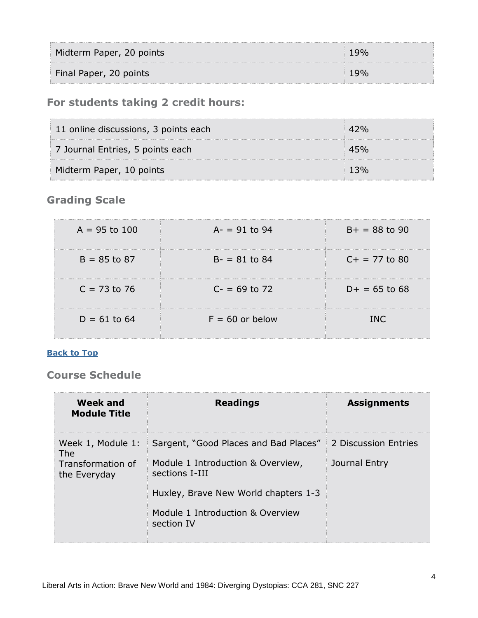| Midterm Paper, 20 points |  |
|--------------------------|--|
| Final Paper, 20 points   |  |

## **For students taking 2 credit hours:**

| 11 online discussions, 3 points each |  |
|--------------------------------------|--|
| 7 Journal Entries, 5 points each     |  |
| Midterm Paper, 10 points             |  |

## **Grading Scale**

| $A = 95$ to 100 | $A = 91$ to 94    | $B+ = 88$ to 90 |
|-----------------|-------------------|-----------------|
| $B = 85$ to 87  | $B - = 81$ to 84  | $C+ = 77$ to 80 |
| $C = 73$ to 76  | $C = 69$ to 72    | $D+ = 65$ to 68 |
| $D = 61$ to 64  | $F = 60$ or below | TNC.            |

#### **[Back to Top](#page-0-1)**

## <span id="page-3-0"></span>**Course Schedule**

| <b>Week and</b><br><b>Module Title</b> | <b>Readings</b>                                     | <b>Assignments</b>   |
|----------------------------------------|-----------------------------------------------------|----------------------|
| Week 1, Module 1:<br>The               | Sargent, "Good Places and Bad Places"               | 2 Discussion Entries |
| Transformation of<br>the Everyday      | Module 1 Introduction & Overview,<br>sections I-III | Journal Entry        |
|                                        | Huxley, Brave New World chapters 1-3                |                      |
|                                        | Module 1 Introduction & Overview<br>section IV      |                      |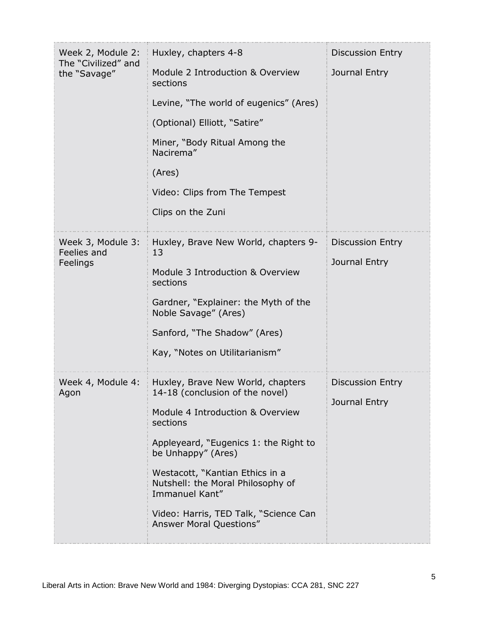| Week 2, Module 2:<br>The "Civilized" and<br>the "Savage" | Huxley, chapters 4-8                                                                   | <b>Discussion Entry</b>                  |
|----------------------------------------------------------|----------------------------------------------------------------------------------------|------------------------------------------|
|                                                          | Module 2 Introduction & Overview<br>sections                                           | Journal Entry                            |
|                                                          | Levine, "The world of eugenics" (Ares)                                                 |                                          |
|                                                          | (Optional) Elliott, "Satire"                                                           |                                          |
|                                                          | Miner, "Body Ritual Among the<br>Nacirema"                                             |                                          |
|                                                          | (Ares)                                                                                 |                                          |
|                                                          | Video: Clips from The Tempest                                                          |                                          |
|                                                          | Clips on the Zuni                                                                      |                                          |
| Week 3, Module 3:<br>Feelies and                         | Huxley, Brave New World, chapters 9-<br>13                                             | <b>Discussion Entry</b><br>Journal Entry |
| Feelings                                                 | Module 3 Introduction & Overview<br>sections                                           |                                          |
|                                                          | Gardner, "Explainer: the Myth of the<br>Noble Savage" (Ares)                           |                                          |
|                                                          | Sanford, "The Shadow" (Ares)                                                           |                                          |
|                                                          | Kay, "Notes on Utilitarianism"                                                         |                                          |
| Week 4, Module 4:<br>Agon                                | Huxley, Brave New World, chapters<br>14-18 (conclusion of the novel)                   | <b>Discussion Entry</b><br>Journal Entry |
|                                                          | Module 4 Introduction & Overview<br>sections                                           |                                          |
|                                                          | Appleyeard, "Eugenics 1: the Right to<br>be Unhappy" (Ares)                            |                                          |
|                                                          | Westacott, "Kantian Ethics in a<br>Nutshell: the Moral Philosophy of<br>Immanuel Kant" |                                          |
|                                                          | Video: Harris, TED Talk, "Science Can<br>Answer Moral Questions"                       |                                          |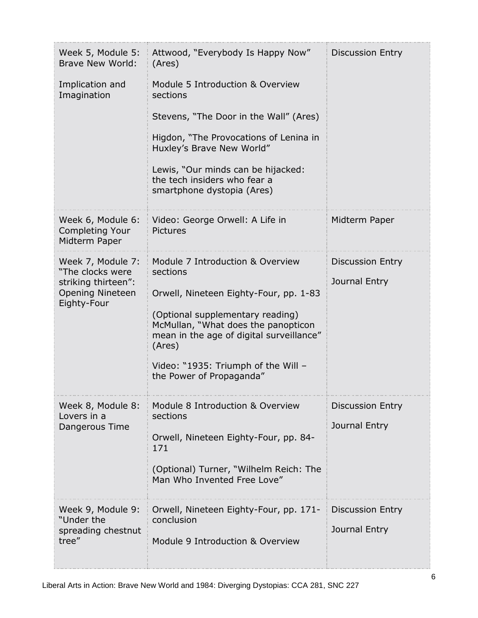| Week 5, Module 5:<br><b>Brave New World:</b>                 | Attwood, "Everybody Is Happy Now"<br>(Ares)                                                                                   | <b>Discussion Entry</b>           |
|--------------------------------------------------------------|-------------------------------------------------------------------------------------------------------------------------------|-----------------------------------|
| Implication and<br>Imagination                               | Module 5 Introduction & Overview<br>sections                                                                                  |                                   |
|                                                              | Stevens, "The Door in the Wall" (Ares)                                                                                        |                                   |
|                                                              | Higdon, "The Provocations of Lenina in<br>Huxley's Brave New World"                                                           |                                   |
|                                                              | Lewis, "Our minds can be hijacked:<br>the tech insiders who fear a<br>smartphone dystopia (Ares)                              |                                   |
| Week 6, Module 6:<br><b>Completing Your</b><br>Midterm Paper | Video: George Orwell: A Life in<br><b>Pictures</b>                                                                            | Midterm Paper                     |
| Week 7, Module 7:<br>"The clocks were                        | Module 7 Introduction & Overview<br>sections                                                                                  | <b>Discussion Entry</b>           |
| striking thirteen":<br><b>Opening Nineteen</b>               | Orwell, Nineteen Eighty-Four, pp. 1-83                                                                                        | Journal Entry                     |
| Eighty-Four                                                  | (Optional supplementary reading)<br>McMullan, "What does the panopticon<br>mean in the age of digital surveillance"<br>(Ares) |                                   |
|                                                              | Video: "1935: Triumph of the Will -<br>the Power of Propaganda"                                                               |                                   |
| Week 8, Module 8:<br>Lovers in a<br>Dangerous Time           | Module 8 Introduction & Overview<br>sections                                                                                  | <b>Discussion Entry</b>           |
|                                                              | Orwell, Nineteen Eighty-Four, pp. 84-<br>171                                                                                  | Journal Entry                     |
|                                                              | (Optional) Turner, "Wilhelm Reich: The<br>Man Who Invented Free Love"                                                         |                                   |
| Week 9, Module 9:<br>"Under the<br>spreading chestnut        | Orwell, Nineteen Eighty-Four, pp. 171-<br>conclusion                                                                          | Discussion Entry<br>Journal Entry |
| tree"                                                        | Module 9 Introduction & Overview                                                                                              |                                   |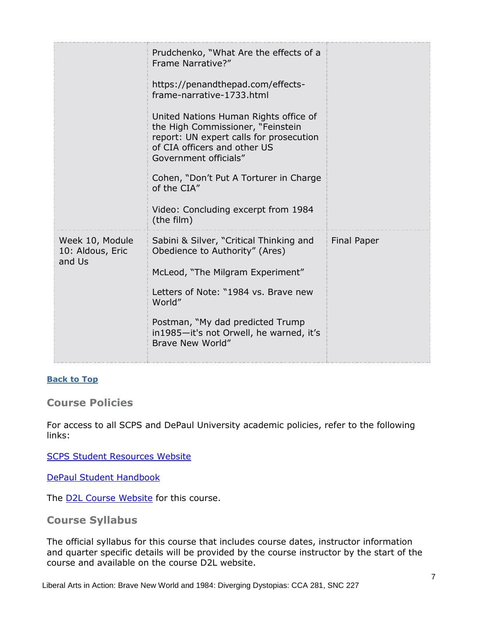|                                               | Prudchenko, "What Are the effects of a<br>Frame Narrative?"                                                                                                                    |                    |
|-----------------------------------------------|--------------------------------------------------------------------------------------------------------------------------------------------------------------------------------|--------------------|
|                                               | https://penandthepad.com/effects-<br>frame-narrative-1733.html                                                                                                                 |                    |
|                                               | United Nations Human Rights office of<br>the High Commissioner, "Feinstein<br>report: UN expert calls for prosecution<br>of CIA officers and other US<br>Government officials" |                    |
|                                               | Cohen, "Don't Put A Torturer in Charge<br>of the CIA"                                                                                                                          |                    |
|                                               | Video: Concluding excerpt from 1984<br>(the film)                                                                                                                              |                    |
| Week 10, Module<br>10: Aldous, Eric<br>and Us | Sabini & Silver, "Critical Thinking and<br>Obedience to Authority" (Ares)                                                                                                      | <b>Final Paper</b> |
|                                               | McLeod, "The Milgram Experiment"                                                                                                                                               |                    |
|                                               | Letters of Note: "1984 vs. Brave new<br>World"                                                                                                                                 |                    |
|                                               | Postman, "My dad predicted Trump<br>in1985-it's not Orwell, he warned, it's<br>Brave New World"                                                                                |                    |
|                                               |                                                                                                                                                                                |                    |

#### **[Back to Top](#page-0-1)**

#### <span id="page-6-0"></span>**Course Policies**

For access to all SCPS and DePaul University academic policies, refer to the following links:

[SCPS Student Resources Website](https://scps.depaul.edu/student-resources/Pages/default.aspx)

[DePaul Student Handbook](https://catalog.depaul.edu/student-handbooks/)

The **D2L Course Website** for this course.

#### **Course Syllabus**

The official syllabus for this course that includes course dates, instructor information and quarter specific details will be provided by the course instructor by the start of the course and available on the course D2L website.

Liberal Arts in Action: Brave New World and 1984: Diverging Dystopias: CCA 281, SNC 227